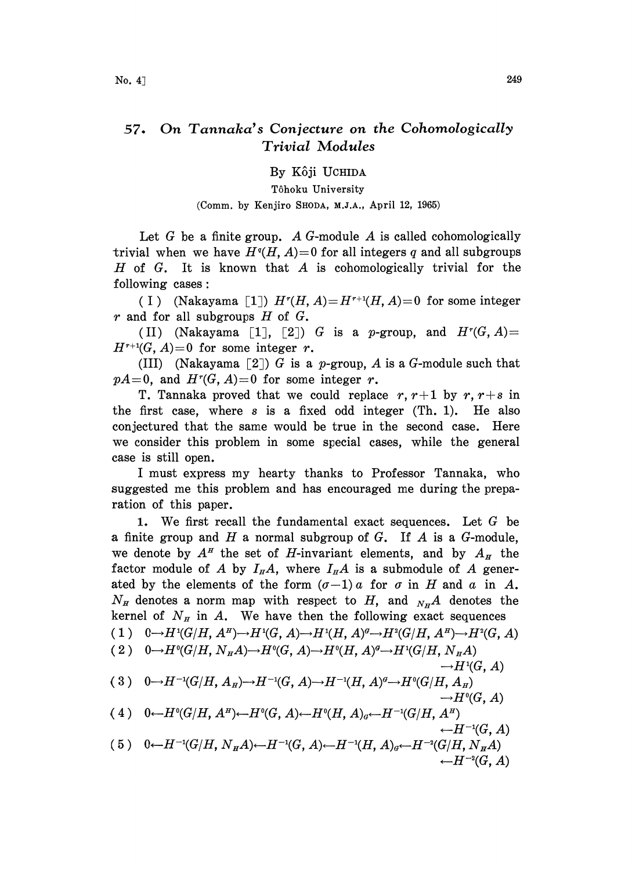## 57. On Tannaka's Conjecture on the Cohomologically Trivial Modules

By Kôji UCHIDA

Tôhoku University (Comm. by Kenjiro SHODA, M.J.A., April 12, 1965)

Let G be a finite group. A G-module A is called cohomologically trivial when we have  $H<sup>q</sup>(H, A)=0$  for all integers q and all subgroups H of G. It is known that A is cohomologically trivial for the following cases:

(I) (Nakayama [1])  $H^r(H, A)=H^{r+1}(H, A)=0$  for some integer r and for all subgroups  $H$  of  $G$ .

(II) (Nakayama [1], [2]) G is a p-group, and  $H^r(G, A) =$  $H^{r+1}(G, A)=0$  for some integer r.

(III) (Nakayama [2]) G is a p-group, A is a G-module such that  $pA=0$ , and  $H^r(G, A)=0$  for some integer r.

T. Tannaka proved that we could replace  $r, r+1$  by  $r, r+s$  in the first case, where <sup>s</sup> is a fixed odd integer (Th. 1). He also conjectured that the same would be true in the second case. Here we consider this problem in some special cases, while the general case is still open.

<sup>I</sup> must express my hearty thanks to Professor Tannaka, who suggested me this problem and has encouraged me during the preparation of this paper.

1. We first recall the fundamental exact sequences. Let  $G$  be a finite group and  $H$  a normal subgroup of  $G$ . If  $A$  is a  $G$ -module, we denote by  $A^H$  the set of H-invariant elements, and by  $A_H$  the factor module of A by  $I_{H}A$ , where  $I_{H}A$  is a submodule of A generated by the elements of the form  $(\sigma-1)a$  for  $\sigma$  in H and  $a$  in A.  $N_H$  denotes a norm map with respect to H, and  $N_H$ A denotes the kernel of  $N<sub>H</sub>$  in A. We have then the following exact sequences ( 1 )  $0 \rightarrow H^1(G/H, A^H) \rightarrow H^1(G, A) \rightarrow H^1(H, A)^g \rightarrow H^2(G/H, A^H) \rightarrow H^2(G, A)$ ( 2 )  $0 \rightarrow H^0(G/H, N_H A) \rightarrow H^0(G, A) \rightarrow H^0(H, A)^d \rightarrow H^1(G/H, N_H A)$  $\rightarrow H^1(G, A)$ (3)  $0 \rightarrow H^{-1}(G/H, A_H) \rightarrow H^{-1}(G, A) \rightarrow H^{-1}(H, A)^{d} \rightarrow H^{0}(G/H, A_H)$  $\rightarrow H^0(G, A)$ (4)  $0 \leftarrow H^0(G/H, A^H) \leftarrow H^0(G, A) \leftarrow H^0(H, A)_d \leftarrow H^{-1}(G/H, A^H)$  $\leftarrow H^{-1}(G, A)$ (5)  $0 \leftarrow H^{-1}(G/H, N_H A) \leftarrow H^{-1}(G, A) \leftarrow H^{-1}(H, A)_{\sigma} \leftarrow H^{-2}(G/H, N_H A)$  $\leftarrow H^{-2}(G, A)$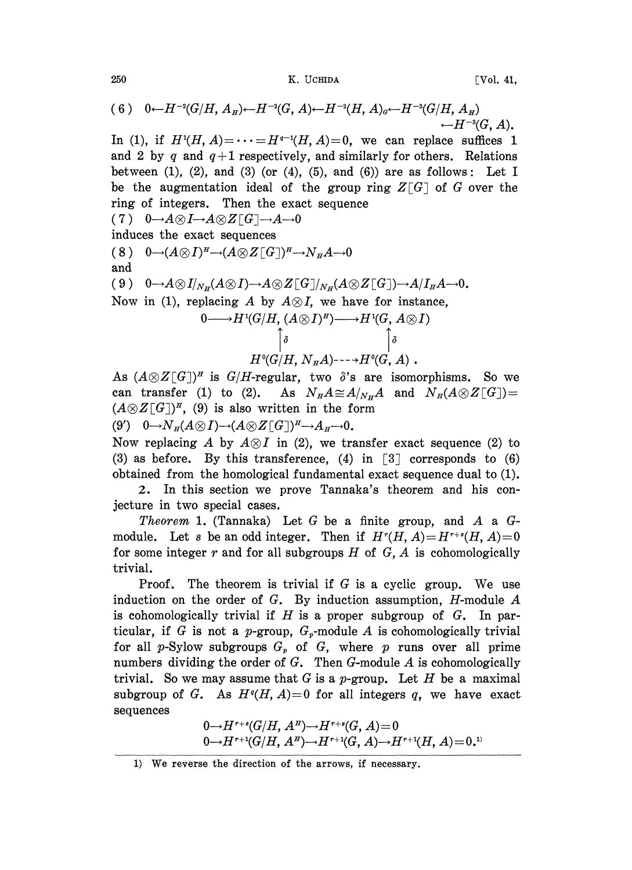250 **X. UCHIDA Vol. 41,** 

$$
(6) \quad 0 \leftarrow H^{-2}(G/H, A_{H}) \leftarrow H^{-2}(G, A) \leftarrow H^{-2}(H, A)_{\sigma} \leftarrow H^{-3}(G/H, A_{H}) \leftarrow H^{-3}(G, A).
$$

In (1), if  $H^1(H, A) = \cdots = H^{q-1}(H, A) = 0$ , we can replace suffices 1 and 2 by q and  $q+1$  respectively, and similarly for others. Relations between (1), (2), and (3) (or (4), (5), and (6)) are as follows: Let I be the augmentation ideal of the group ring  $Z[G]$  of G over the ring of integers. Then the exact sequence  $(7)$  0 $\rightarrow$ A $\otimes$ I $\rightarrow$ A $\otimes$ Z[G] $\rightarrow$ A $\rightarrow$ O

induces the exact sequences \_

(8) 
$$
0 \rightarrow (A \otimes I)^H \rightarrow (A \otimes Z[G])^H \rightarrow N_H A \rightarrow 0
$$
  
and  
(9)  $0 \rightarrow A \otimes I|_{N_H}(A \otimes I) \rightarrow A \otimes Z[G]|_{N_H}(A \otimes Z[G]) \rightarrow A/I_H A \rightarrow 0.$   
Now in (1), replacing A by  $A \otimes I$ , we have for instance,  
 $0 \rightarrow H^1(G/H, (A \otimes I)^H) \rightarrow H^1(G, A \otimes I)$   

$$
\uparrow \circ
$$

$$
H^0(G/H, N_H A) \rightarrow H^0(G, A).
$$

As  $(A \otimes Z[G])^{\pi}$  is  $G/H$ -regular, two  $\delta$ 's are isomorphisms. So we can transfer (1) to (2). As  $N_{H}A \cong A/N_{H}A$  and  $N_{H}(A \otimes Z[G]) =$  $(A \otimes Z[G])^H$ , (9) is also written in the form (9')  $0 \rightarrow N_H(A \otimes I) \rightarrow (A \otimes Z[G])^H \rightarrow A_H \rightarrow 0$ .

Now replacing A by  $A\otimes I$  in (2), we transfer exact sequence (2) to (3) as before. By this transference, (4) in  $\lceil 3 \rceil$  corresponds to (6) obtained from the homological fundamental exact sequence dual to (1).

2. In this section we prove Tannaka's theorem and his conjecture in two special cases.

*Theorem* 1. (Tannaka) Let G be a finite group, and A a Gmodule. Let s be an odd integer. Then if  $H^r(H, A)=H^{r+s}(H, A)=0$ for some integer r and for all subgroups  $H$  of  $G$ ,  $A$  is cohomologically trivial.

Proof. The theorem is trivial if  $G$  is a cyclic group. We use induction on the order of  $G$ . By induction assumption, H-module  $A$ is cohomologically trivial if  $H$  is a proper subgroup of  $G$ . In particular, if G is not a p-group,  $G_p$ -module A is cohomologically trivial for all p-Sylow subgroups  $G_p$  of  $G$ , where p runs over all prime numbers dividing the order of  $G$ . Then  $G$ -module  $A$  is cohomologically trivial. So we may assume that G is a p-group. Let H be a maximal subgroup of G. As  $H<sup>q</sup>(H, A) = 0$  for all integers q, we have exact sequences

$$
0 \rightarrow H^{r+s}(G/H, A^H) \rightarrow H^{r+s}(G, A) = 0
$$
  

$$
0 \rightarrow H^{r+1}(G/H, A^H) \rightarrow H^{r+1}(G, A) \rightarrow H^{r+1}(H, A) = 0.
$$
<sup>11</sup>

<sup>1)</sup> We reverse the direction of the arrows, if necessary.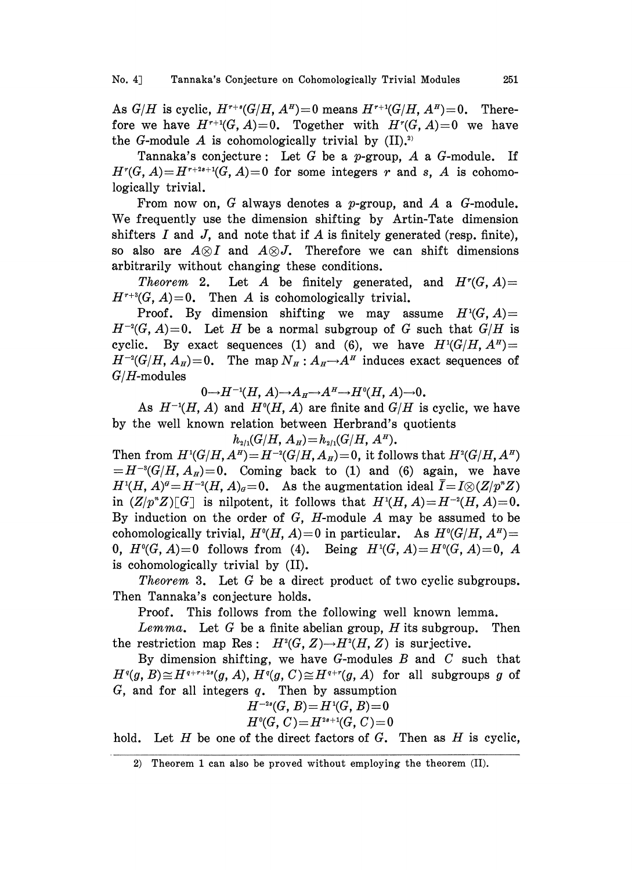As  $G/H$  is cyclic,  $H^{r+s}(G/H, A^H)=0$  means  $H^{r+1}(G/H, A^H)=0$ . Therefore we have  $H^{r+1}(G, A)=0$ . Together with  $H^r(G, A)=0$  we have the G-module A is cohomologically trivial by  $(II).^{2}$ 

Tannaka's conjecture: Let G be a p-group,  $A$  a G-module. If  $H^r(G, A)=H^{r+2s+1}(G, A)=0$  for some integers r and s, A is cohomologically trivial.

From now on,  $G$  always denotes a *p*-group, and  $A$  a  $G$ -module. We frequently use the dimension shifting by Artin-Tate dimension shifters I and J, and note that if A is finitely generated (resp. finite), so also are  $A\otimes I$  and  $A\otimes J$ . Therefore we can shift dimensions arbitrarily without changing these conditions.

*Theorem* 2. Let A be finitely generated, and  $H^r(G, A)$ =  $H^{r+3}(G, A)=0$ . Then A is cohomologically trivial.

Proof. By dimension shifting we may assume  $H<sup>1</sup>(G, A)$  =  $H^{-2}(G, A)=0$ . Let H be a normal subgroup of G such that  $G/H$  is cyclic. By exact sequences (1) and (6), we have  $H^1(G/H, A^H)$  =  $H^{-2}(G/H, A_{H})=0$ . The map  $N_{H}: A_{H}\rightarrow A^{H}$  induces exact sequences of  $G/H$ -modules

 $0 \rightarrow H^{-1}(H, A) \rightarrow A_H \rightarrow A^H \rightarrow H^0(H, A) \rightarrow 0$ .

As  $H^{-1}(H, A)$  and  $H^{0}(H, A)$  are finite and  $G/H$  is cyclic, we have by the well known relation between Herbrand's quotients

 $h_{2/1}(G/H, A_H) = h_{2/1}(G/H, A^H).$ 

Then from  $H^1(G/H, A^H) = H^{-2}(G/H, A_H) = 0$ , it follows that  $H^2(G/H, A^H)$  $=H^{-3}(G/H, A_{H})=0$ . Coming back to (1) and (6) again, we have  $H^{1}(H, A)^{d} = H^{-2}(H, A)_{d} = 0$ . As the augmentation ideal  $\overline{I} = I \otimes (Z/p^{n}Z)$ in  $(Z/p^n Z)[G]$  is nilpotent, it follows that  $H^1(H, A)=H^{-2}(H, A)=0$ . By induction on the order of  $G$ ,  $H$ -module  $A$  may be assumed to be cohomologically trivial,  $H^0(H, A)=0$  in particular. As  $H^0(G/H, A^H)=$ 0,  $H^0(G, A)=0$  follows from (4). Being  $H^1(G, A)=H^0(G, A)=0$ , A is cohomologically trivial by (II).

Theorem 3. Let G be a direct product of two cyclic subgroups. Then Tannaka's conjecture holds.

Proof. This follows from the following well known lemma.

Lemma. Let G be a finite abelian group, H its subgroup. Then the restriction map Res:  $H^2(G, Z) \rightarrow H^2(H, Z)$  is surjective.

By dimension shifting, we have  $G$ -modules  $B$  and  $C$  such that  $H<sup>q</sup>(g, B) \cong H<sup>q+r+2s</sup>(g, A), H<sup>q</sup>(g, C) \cong H<sup>q+r</sup>(g, A)$  for all subgroups g of  $G$ , and for all integers  $q$ . Then by assumption

$$
H^{-2s}(G, B) = H^1(G, B) = 0
$$
  

$$
H^0(G, C) = H^{2s+1}(G, C) = 0
$$

hold. Let  $H$  be one of the direct factors of  $G$ . Then as  $H$  is cyclic,

<sup>2)</sup> Theorem <sup>1</sup> can also be proved without employing the theorem (II).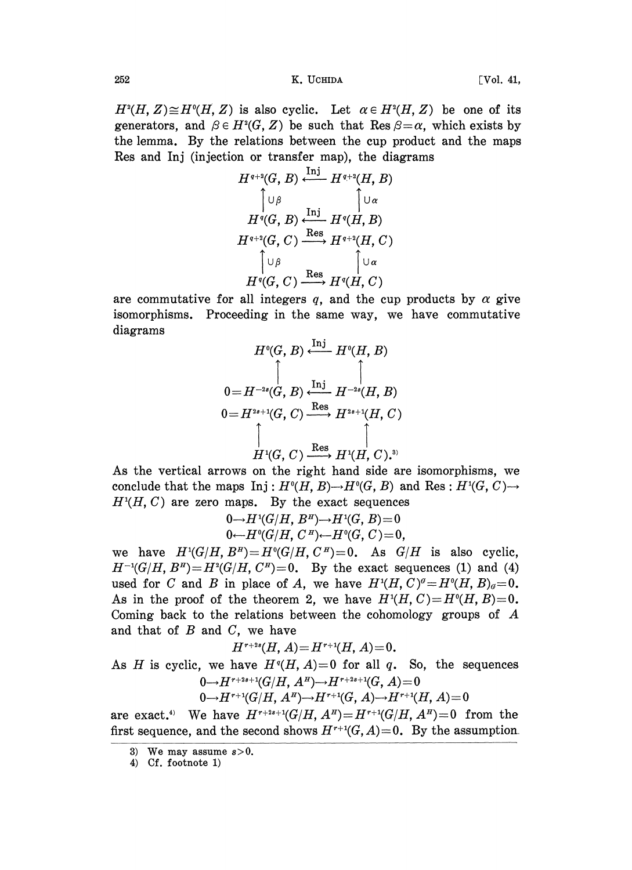252 K. UCHIDA [Vol. 41,

 $H^2(H, Z) \cong H^0(H, Z)$  is also cyclic. Let  $\alpha \in H^2(H, Z)$  be one of its generators, and  $\beta \in H^2(G, Z)$  be such that Res  $\beta = \alpha$ , which exists by the lemma. By the relations between the cup product and the maps Res and Inj (injection or transfer map), the diagrams

$$
H^{q+2}(G, B) \xleftarrow{\operatorname{Inj}} H^{q+2}(H, B)
$$
\n
$$
\uparrow \cup \beta \qquad \qquad \uparrow \cup \alpha
$$
\n
$$
H^{q}(G, B) \xleftarrow{\operatorname{Inj}} H^{q}(H, B)
$$
\n
$$
H^{q+2}(G, C) \xrightarrow{\operatorname{Res}} H^{q+2}(H, C)
$$
\n
$$
\uparrow \cup \beta \qquad \qquad \uparrow \cup \alpha
$$
\n
$$
H^{q}(G, C) \xrightarrow{\operatorname{Res}} H^{q}(H, C)
$$

are commutative for all integers q, and the cup products by  $\alpha$  give isomorphisms. Proceeding in the same way, we have commutative diagrams

$$
H^{\mathfrak{q}}(G, B) \xleftarrow{\operatorname{Inj}} H^{\mathfrak{q}}(H, B)
$$
\n
$$
0=H^{-2s}(G, B) \xleftarrow{\operatorname{Inj}} H^{-2s}(H, B)
$$
\n
$$
0=H^{2s+1}(G, C) \xrightarrow{\operatorname{Res}} H^{2s+1}(H, C)
$$
\n
$$
\uparrow \qquad \qquad \downarrow
$$
\n
$$
H^1(G, C) \xrightarrow{\operatorname{Res}} H^1(H, C).
$$

As the vertical arrows on the right hand side are isomorphisms, we conclude that the maps Inj:  $H^0(H, B) \to H^0(G, B)$  and Res:  $H^1(G, C) \to$  $H<sup>1</sup>(H, C)$  are zero maps. By the exact sequences

$$
0 \rightarrow H^1(G/H, B^H) \rightarrow H^1(G, B) = 0
$$
  

$$
0 \leftarrow H^0(G/H, C^H) \leftarrow H^0(G, C) = 0,
$$

we have  $H^1(G/H, B^H) = H^0(G/H, C^H) = 0$ . As  $G/H$  is also cyclic,  $H^{-1}(G/H, B^H) = H^2(G/H, C^H) = 0$ . By the exact sequences (1) and (4) used for C and B in place of A, we have  $H^{1}(H, C)^{a}=H^{0}(H, B)_{a}=0$ . As in the proof of the theorem 2, we have  $H<sup>t</sup>(H, C)=H<sup>0</sup>(H, B)=0$ . Coming back to the relations between the cohomology groups of A and that of  $B$  and  $C$ , we have

$$
H^{r+2s}(H, A) = H^{r+1}(H, A) = 0.
$$

As H is cyclic, we have  $H<sup>q</sup>(H, A)=0$  for all q. So, the sequences  $0 \rightarrow H^{r+2s+1}(G/H, A^H) \rightarrow H^{r+2s+1}(G, A) = 0$ 

 $0 \rightarrow H^{r+1}(G/H, A^H) \rightarrow H^{r+1}(G, A) \rightarrow H^{r+1}(H, A) = 0$ 

are exact.<sup>4)</sup> We have  $H^{r+2s+1}(G/H, A^H) = H^{r+1}(G/H, A^H) = 0$  from the first sequence, and the second shows  $H^{r+1}(G, A)=0$ . By the assumption.

4) Cf. footnote 1)

<sup>3)</sup> We may assume  $s > 0$ .